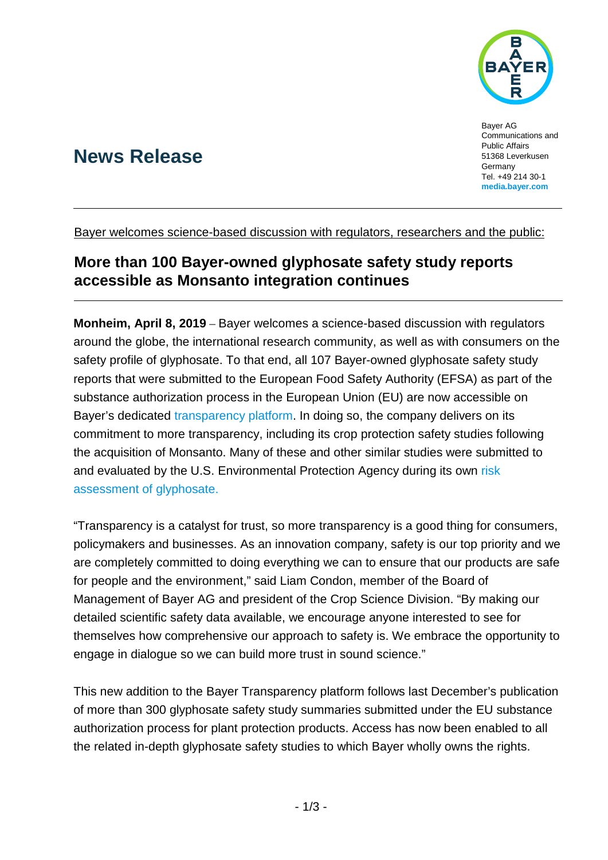

# **News Release**

Bayer AG Communications and Public Affairs 51368 Leverkusen **Germany** Tel. +49 214 30-1 **[media.bayer.com](http://media.bayer.de/)**

Bayer welcomes science-based discussion with regulators, researchers and the public:

## **More than 100 Bayer-owned glyphosate safety study reports accessible as Monsanto integration continues**

**Monheim, April 8, 2019** – Bayer welcomes a science-based discussion with regulators around the globe, the international research community, as well as with consumers on the safety profile of glyphosate. To that end, all 107 Bayer-owned glyphosate safety study reports that were submitted to the European Food Safety Authority (EFSA) as part of the substance authorization process in the European Union (EU) are now accessible on Bayer's dedicated [transparency platform.](https://www.cropscience-transparency.bayer.com/) In doing so, the company delivers on its commitment to more transparency, including its crop protection safety studies following the acquisition of Monsanto. Many of these and other similar studies were submitted to and evaluated by the U.S. Environmental Protection Agency during its own [risk](https://www.epa.gov/pesticides/epa-releases-draft-risk-assessments-glyphosate)  [assessment of glyphosate.](https://www.epa.gov/pesticides/epa-releases-draft-risk-assessments-glyphosate)

"Transparency is a catalyst for trust, so more transparency is a good thing for consumers, policymakers and businesses. As an innovation company, safety is our top priority and we are completely committed to doing everything we can to ensure that our products are safe for people and the environment," said Liam Condon, member of the Board of Management of Bayer AG and president of the Crop Science Division. "By making our detailed scientific safety data available, we encourage anyone interested to see for themselves how comprehensive our approach to safety is. We embrace the opportunity to engage in dialogue so we can build more trust in sound science."

This new addition to the Bayer Transparency platform follows last December's publication of more than 300 glyphosate safety study summaries submitted under the EU substance authorization process for plant protection products. Access has now been enabled to all the related in-depth glyphosate safety studies to which Bayer wholly owns the rights.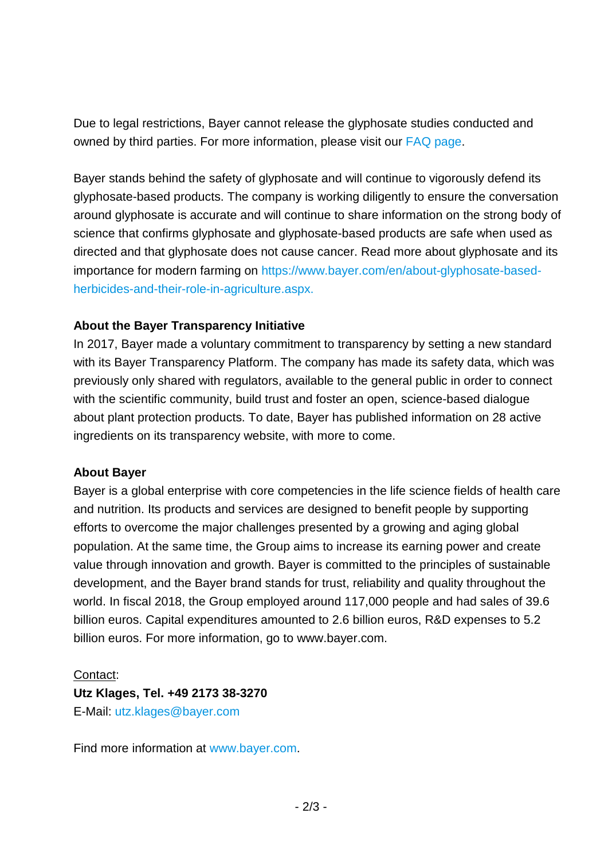Due to legal restrictions, Bayer cannot release the glyphosate studies conducted and owned by third parties. For more information, please visit our [FAQ page.](https://www.cropscience-transparency.bayer.com/en/FAQ)

Bayer stands behind the safety of glyphosate and will continue to vigorously defend its glyphosate-based products. The company is working diligently to ensure the conversation around glyphosate is accurate and will continue to share information on the strong body of science that confirms glyphosate and glyphosate-based products are safe when used as directed and that glyphosate does not cause cancer. Read more about glyphosate and its importance for modern farming on [https://www.bayer.com/en/about-glyphosate-based](https://www.bayer.com/en/about-glyphosate-based-herbicides-and-their-role-in-agriculture.aspx)[herbicides-and-their-role-in-agriculture.aspx.](https://www.bayer.com/en/about-glyphosate-based-herbicides-and-their-role-in-agriculture.aspx)

## **About the Bayer Transparency Initiative**

In 2017, Bayer made a voluntary commitment to transparency by setting a new standard with its Bayer Transparency Platform. The company has made its safety data, which was previously only shared with regulators, available to the general public in order to connect with the scientific community, build trust and foster an open, science-based dialogue about plant protection products. To date, Bayer has published information on 28 active ingredients on its transparency website, with more to come.

### **About Bayer**

Bayer is a global enterprise with core competencies in the life science fields of health care and nutrition. Its products and services are designed to benefit people by supporting efforts to overcome the major challenges presented by a growing and aging global population. At the same time, the Group aims to increase its earning power and create value through innovation and growth. Bayer is committed to the principles of sustainable development, and the Bayer brand stands for trust, reliability and quality throughout the world. In fiscal 2018, the Group employed around 117,000 people and had sales of 39.6 billion euros. Capital expenditures amounted to 2.6 billion euros, R&D expenses to 5.2 billion euros. For more information, go to [www.bayer.com.](http://www.bayer.com/)

### Contact:

**Utz Klages, Tel. +49 2173 38-3270** E-Mail: [utz.klages@bayer.com](mailto:utz.klages@bayer.com)

Find more information at [www.bayer.com.](http://www.bayer.com/)